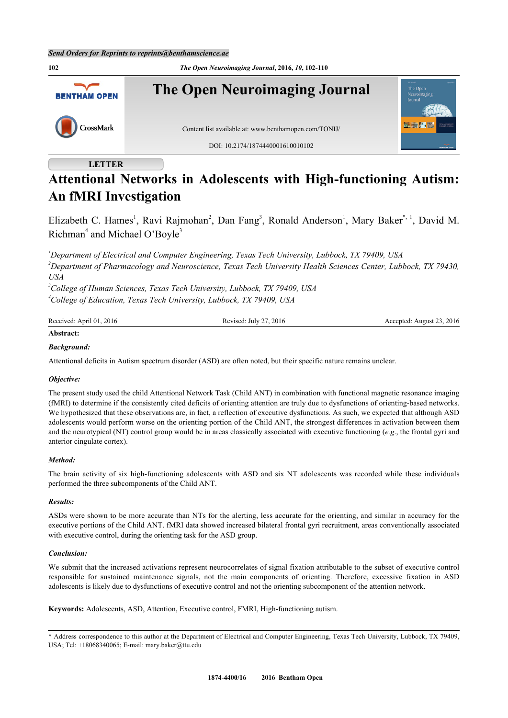

# **LETTER**

# **Attentional Networks in Adolescents with High-functioning Autism: An fMRI Investigation**

Elizabeth C. Hames<sup>[1](#page-0-0)</sup>, Ravi Rajmohan<sup>[2](#page-0-1)</sup>, Dan Fang<sup>[3](#page-0-2)</sup>, Ronald Anderson<sup>1</sup>, Mary Baker<sup>[\\*](#page-0-3), [1](#page-0-0)</sup>, David M. Richman<sup>[4](#page-0-4)</sup> and Michael O'Boyle<sup>[3](#page-0-2)</sup>

<span id="page-0-1"></span><span id="page-0-0"></span>*<sup>1</sup>Department of Electrical and Computer Engineering, Texas Tech University, Lubbock, TX 79409, USA <sup>2</sup>Department of Pharmacology and Neuroscience, Texas Tech University Health Sciences Center, Lubbock, TX 79430, USA*

<span id="page-0-4"></span><span id="page-0-2"></span>*<sup>3</sup>College of Human Sciences, Texas Tech University, Lubbock, TX 79409, USA <sup>4</sup>College of Education, Texas Tech University, Lubbock, TX 79409, USA*

| Received: April 01, 2016 | Revised: July 27, 2016 | Accepted: August 23, 2016 |  |  |
|--------------------------|------------------------|---------------------------|--|--|
| Abstract:                |                        |                           |  |  |

# *Background:*

Attentional deficits in Autism spectrum disorder (ASD) are often noted, but their specific nature remains unclear.

# *Objective:*

The present study used the child Attentional Network Task (Child ANT) in combination with functional magnetic resonance imaging (fMRI) to determine if the consistently cited deficits of orienting attention are truly due to dysfunctions of orienting-based networks. We hypothesized that these observations are, in fact, a reflection of executive dysfunctions. As such, we expected that although ASD adolescents would perform worse on the orienting portion of the Child ANT, the strongest differences in activation between them and the neurotypical (NT) control group would be in areas classically associated with executive functioning (*e.g*., the frontal gyri and anterior cingulate cortex).

# *Method:*

The brain activity of six high-functioning adolescents with ASD and six NT adolescents was recorded while these individuals performed the three subcomponents of the Child ANT.

#### *Results:*

ASDs were shown to be more accurate than NTs for the alerting, less accurate for the orienting, and similar in accuracy for the executive portions of the Child ANT. fMRI data showed increased bilateral frontal gyri recruitment, areas conventionally associated with executive control, during the orienting task for the ASD group.

#### *Conclusion:*

We submit that the increased activations represent neurocorrelates of signal fixation attributable to the subset of executive control responsible for sustained maintenance signals, not the main components of orienting. Therefore, excessive fixation in ASD adolescents is likely due to dysfunctions of executive control and not the orienting subcomponent of the attention network.

**Keywords:** Adolescents, ASD, Attention, Executive control, FMRI, High-functioning autism.

<span id="page-0-3"></span>\* Address correspondence to this author at the Department of Electrical and Computer Engineering, Texas Tech University, Lubbock, TX 79409, USA; Tel: +18068340065; E-mail: [mary.baker@ttu.edu](mailto:mary.baker@ttu.edu)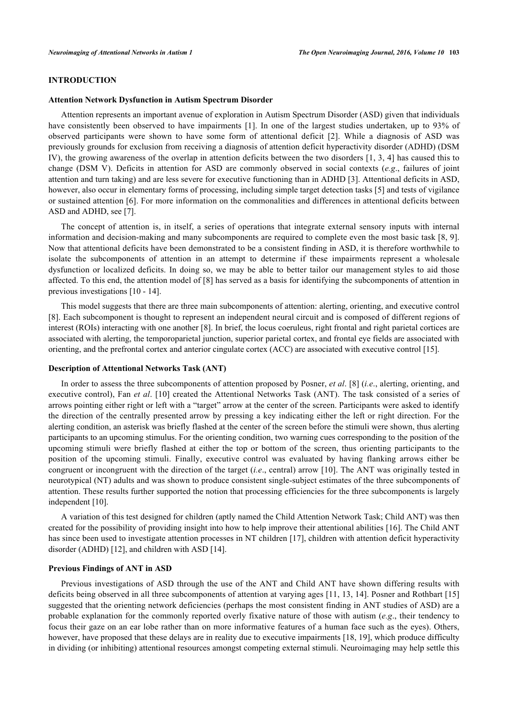# **INTRODUCTION**

## **Attention Network Dysfunction in Autism Spectrum Disorder**

Attention represents an important avenue of exploration in Autism Spectrum Disorder (ASD) given that individuals haveconsistently been observed to have impairments [[1\]](#page-7-0). In one of the largest studies undertaken, up to 93% of observed participants were shown to have some form of attentional deficit[[2\]](#page-7-1). While a diagnosis of ASD was previously grounds for exclusion from receiving a diagnosis of attention deficit hyperactivity disorder (ADHD) (DSM IV), the growing awareness of the overlap in attention deficits between the two disorders [[1,](#page-7-0) [3](#page-7-2), [4](#page-7-3)] has caused this to change (DSM V). Deficits in attention for ASD are commonly observed in social contexts (*e.g*., failures of joint attention and turn taking) and are less severe for executive functioning than in ADHD [\[3](#page-7-2)]. Attentional deficits in ASD, however, also occur in elementary forms of processing, including simple target detection tasks [[5\]](#page-7-4) and tests of vigilance or sustained attention [\[6](#page-7-5)]. For more information on the commonalities and differences in attentional deficits between ASD and ADHD, see [[7\]](#page-7-6).

The concept of attention is, in itself, a series of operations that integrate external sensory inputs with internal information and decision-making and many subcomponents are required to complete even the most basic task [[8](#page-7-7), [9\]](#page-7-8). Now that attentional deficits have been demonstrated to be a consistent finding in ASD, it is therefore worthwhile to isolate the subcomponents of attention in an attempt to determine if these impairments represent a wholesale dysfunction or localized deficits. In doing so, we may be able to better tailor our management styles to aid those affected. To this end, the attention model of [\[8](#page-7-7)] has served as a basis for identifying the subcomponents of attention in previous investigations [\[10](#page-7-9) - [14](#page-7-10)].

This model suggests that there are three main subcomponents of attention: alerting, orienting, and executive control [\[8](#page-7-7)]. Each subcomponent is thought to represent an independent neural circuit and is composed of different regions of interest (ROIs) interacting with one another [[8\]](#page-7-7). In brief, the locus coeruleus, right frontal and right parietal cortices are associated with alerting, the temporoparietal junction, superior parietal cortex, and frontal eye fields are associated with orienting, and the prefrontal cortex and anterior cingulate cortex (ACC) are associated with executive control [\[15](#page-7-11)].

# **Description of Attentional Networks Task (ANT)**

In order to assess the three subcomponents of attention proposed by Posner, *et al*. [[8\]](#page-7-7) (*i.e*., alerting, orienting, and executive control), Fan *et al*. [\[10\]](#page-7-9) created the Attentional Networks Task (ANT). The task consisted of a series of arrows pointing either right or left with a "target" arrow at the center of the screen. Participants were asked to identify the direction of the centrally presented arrow by pressing a key indicating either the left or right direction. For the alerting condition, an asterisk was briefly flashed at the center of the screen before the stimuli were shown, thus alerting participants to an upcoming stimulus. For the orienting condition, two warning cues corresponding to the position of the upcoming stimuli were briefly flashed at either the top or bottom of the screen, thus orienting participants to the position of the upcoming stimuli. Finally, executive control was evaluated by having flanking arrows either be congruent or incongruent with the direction of the target (*i.e*., central) arrow [[10](#page-7-9)]. The ANT was originally tested in neurotypical (NT) adults and was shown to produce consistent single-subject estimates of the three subcomponents of attention. These results further supported the notion that processing efficiencies for the three subcomponents is largely independent [\[10](#page-7-9)].

A variation of this test designed for children (aptly named the Child Attention Network Task; Child ANT) was then created for the possibility of providing insight into how to help improve their attentional abilities [[16\]](#page-7-12). The Child ANT has since been used to investigate attention processes in NT children [[17\]](#page-7-13), children with attention deficit hyperactivity disorder (ADHD) [\[12](#page-7-14)], and children with ASD [[14\]](#page-7-10).

## **Previous Findings of ANT in ASD**

Previous investigations of ASD through the use of the ANT and Child ANT have shown differing results with deficits being observed in all three subcomponents of attention at varying ages [\[11,](#page-7-15) [13](#page-7-16), [14\]](#page-7-10). Posner and Rothbart [\[15](#page-7-11)] suggested that the orienting network deficiencies (perhaps the most consistent finding in ANT studies of ASD) are a probable explanation for the commonly reported overly fixative nature of those with autism (*e.g*., their tendency to focus their gaze on an ear lobe rather than on more informative features of a human face such as the eyes). Others, however, have proposed that these delays are in reality due to executive impairments [\[18](#page-7-17), [19\]](#page-7-18), which produce difficulty in dividing (or inhibiting) attentional resources amongst competing external stimuli. Neuroimaging may help settle this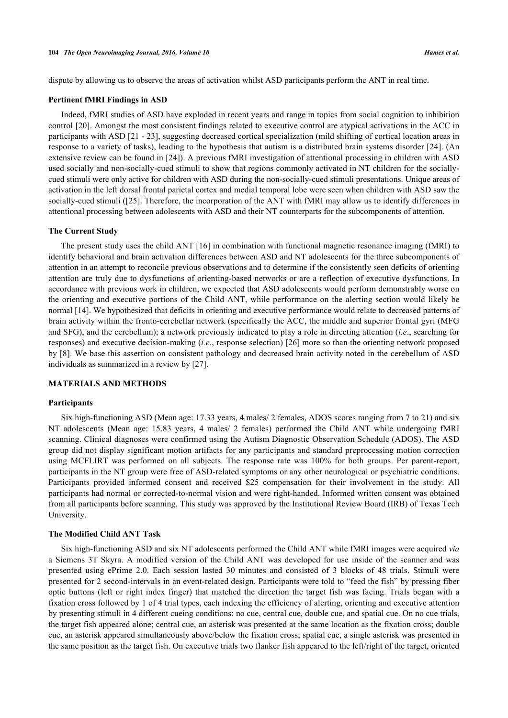dispute by allowing us to observe the areas of activation whilst ASD participants perform the ANT in real time.

#### **Pertinent fMRI Findings in ASD**

Indeed, fMRI studies of ASD have exploded in recent years and range in topics from social cognition to inhibition control [[20\]](#page-7-19). Amongst the most consistent findings related to executive control are atypical activations in the ACC in participants with ASD [\[21](#page-8-0) - [23](#page-8-1)], suggesting decreased cortical specialization (mild shifting of cortical location areas in response to a variety of tasks), leading to the hypothesis that autism is a distributed brain systems disorder [[24\]](#page-8-2). (An extensive review can be found in [[24\]](#page-8-2)). A previous fMRI investigation of attentional processing in children with ASD used socially and non-socially-cued stimuli to show that regions commonly activated in NT children for the sociallycued stimuli were only active for children with ASD during the non-socially-cued stimuli presentations. Unique areas of activation in the left dorsal frontal parietal cortex and medial temporal lobe were seen when children with ASD saw the socially-cued stimuli ([[25\]](#page-8-3). Therefore, the incorporation of the ANT with fMRI may allow us to identify differences in attentional processing between adolescents with ASD and their NT counterparts for the subcomponents of attention.

# **The Current Study**

The present study uses the child ANT [\[16](#page-7-12)] in combination with functional magnetic resonance imaging (fMRI) to identify behavioral and brain activation differences between ASD and NT adolescents for the three subcomponents of attention in an attempt to reconcile previous observations and to determine if the consistently seen deficits of orienting attention are truly due to dysfunctions of orienting-based networks or are a reflection of executive dysfunctions. In accordance with previous work in children, we expected that ASD adolescents would perform demonstrably worse on the orienting and executive portions of the Child ANT, while performance on the alerting section would likely be normal [[14\]](#page-7-10). We hypothesized that deficits in orienting and executive performance would relate to decreased patterns of brain activity within the fronto-cerebellar network (specifically the ACC, the middle and superior frontal gyri (MFG and SFG), and the cerebellum); a network previously indicated to play a role in directing attention (*i.e*., searching for responses) and executive decision-making (*i.e*., response selection) [[26](#page-8-4)] more so than the orienting network proposed by [[8\]](#page-7-7). We base this assertion on consistent pathology and decreased brain activity noted in the cerebellum of ASD individuals as summarized in a review by [[27\]](#page-8-5).

## **MATERIALS AND METHODS**

#### **Participants**

Six high-functioning ASD (Mean age: 17.33 years, 4 males/ 2 females, ADOS scores ranging from 7 to 21) and six NT adolescents (Mean age: 15.83 years, 4 males/ 2 females) performed the Child ANT while undergoing fMRI scanning. Clinical diagnoses were confirmed using the Autism Diagnostic Observation Schedule (ADOS). The ASD group did not display significant motion artifacts for any participants and standard preprocessing motion correction using MCFLIRT was performed on all subjects. The response rate was 100% for both groups. Per parent-report, participants in the NT group were free of ASD-related symptoms or any other neurological or psychiatric conditions. Participants provided informed consent and received \$25 compensation for their involvement in the study. All participants had normal or corrected-to-normal vision and were right-handed. Informed written consent was obtained from all participants before scanning. This study was approved by the Institutional Review Board (IRB) of Texas Tech University.

## **The Modified Child ANT Task**

Six high-functioning ASD and six NT adolescents performed the Child ANT while fMRI images were acquired *via* a Siemens 3T Skyra. A modified version of the Child ANT was developed for use inside of the scanner and was presented using ePrime 2.0. Each session lasted 30 minutes and consisted of 3 blocks of 48 trials. Stimuli were presented for 2 second-intervals in an event-related design. Participants were told to "feed the fish" by pressing fiber optic buttons (left or right index finger) that matched the direction the target fish was facing. Trials began with a fixation cross followed by 1 of 4 trial types, each indexing the efficiency of alerting, orienting and executive attention by presenting stimuli in 4 different cueing conditions: no cue, central cue, double cue, and spatial cue. On no cue trials, the target fish appeared alone; central cue, an asterisk was presented at the same location as the fixation cross; double cue, an asterisk appeared simultaneously above/below the fixation cross; spatial cue, a single asterisk was presented in the same position as the target fish. On executive trials two flanker fish appeared to the left/right of the target, oriented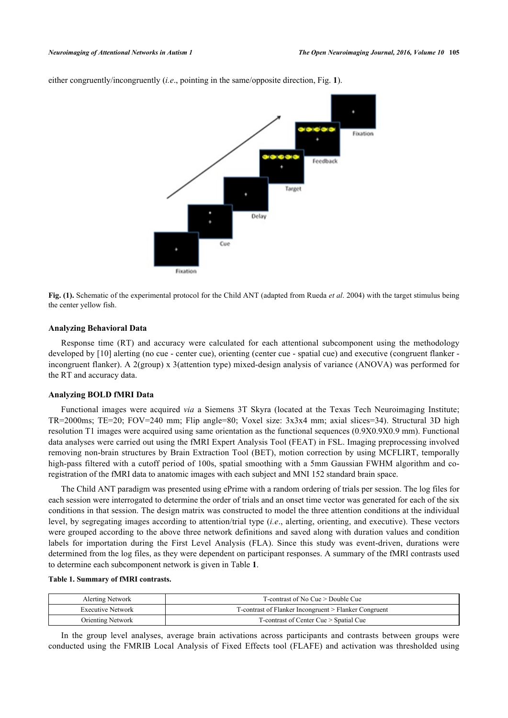

<span id="page-3-0"></span>either congruently/incongruently (*i.e*., pointing in the same/opposite direction, Fig. **[1](#page-3-0)**).

**Fig. (1).** Schematic of the experimental protocol for the Child ANT (adapted from Rueda *et al*. 2004) with the target stimulus being the center yellow fish.

# **Analyzing Behavioral Data**

Response time (RT) and accuracy were calculated for each attentional subcomponent using the methodology developed by [\[10](#page-7-9)] alerting (no cue - center cue), orienting (center cue - spatial cue) and executive (congruent flanker incongruent flanker). A 2(group) x 3(attention type) mixed-design analysis of variance (ANOVA) was performed for the RT and accuracy data.

## **Analyzing BOLD fMRI Data**

Functional images were acquired *via* a Siemens 3T Skyra (located at the Texas Tech Neuroimaging Institute; TR=2000ms; TE=20; FOV=240 mm; Flip angle=80; Voxel size: 3x3x4 mm; axial slices=34). Structural 3D high resolution T1 images were acquired using same orientation as the functional sequences (0.9X0.9X0.9 mm). Functional data analyses were carried out using the fMRI Expert Analysis Tool (FEAT) in FSL. Imaging preprocessing involved removing non-brain structures by Brain Extraction Tool (BET), motion correction by using MCFLIRT, temporally high-pass filtered with a cutoff period of 100s, spatial smoothing with a 5mm Gaussian FWHM algorithm and coregistration of the fMRI data to anatomic images with each subject and MNI 152 standard brain space.

The Child ANT paradigm was presented using ePrime with a random ordering of trials per session. The log files for each session were interrogated to determine the order of trials and an onset time vector was generated for each of the six conditions in that session. The design matrix was constructed to model the three attention conditions at the individual level, by segregating images according to attention/trial type (*i.e*., alerting, orienting, and executive). These vectors were grouped according to the above three network definitions and saved along with duration values and condition labels for importation during the First Level Analysis (FLA). Since this study was event-driven, durations were determined from the log files, as they were dependent on participant responses. A summary of the fMRI contrasts used to determine each subcomponent network is given in Table **[1](#page-3-1)**.

#### <span id="page-3-1"></span>**Table 1. Summary of fMRI contrasts.**

| Alerting Network         | $T$ -contrast of No Cue $>$ Double Cue                |  |  |
|--------------------------|-------------------------------------------------------|--|--|
| <b>Executive Network</b> | T-contrast of Flanker Incongruent > Flanker Congruent |  |  |
| <b>Orienting Network</b> | T-contrast of Center Cue > Spatial Cue                |  |  |

In the group level analyses, average brain activations across participants and contrasts between groups were conducted using the FMRIB Local Analysis of Fixed Effects tool (FLAFE) and activation was thresholded using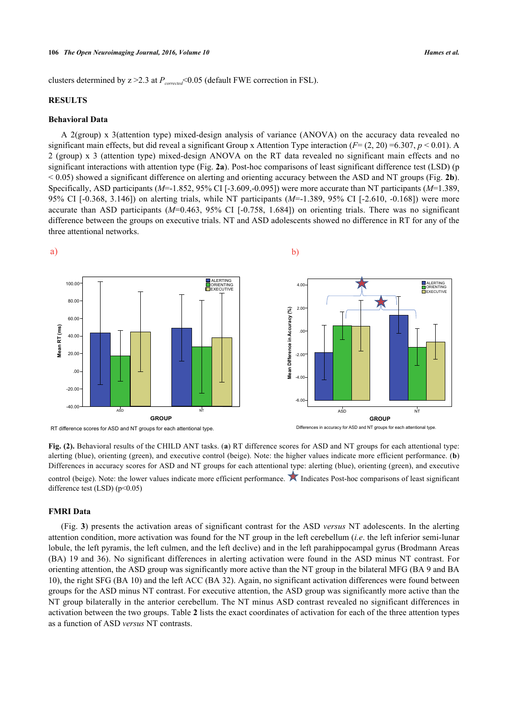clusters determined by z >2.3 at *Pcorrected*<0.05 (default FWE correction in FSL).

# **RESULTS**

## **Behavioral Data**

A 2(group) x 3(attention type) mixed-design analysis of variance (ANOVA) on the accuracy data revealed no significant main effects, but did reveal a significant Group x Attention Type interaction ( $F=(2, 20) = 6.307$ ,  $p < 0.01$ ). A 2 (group) x 3 (attention type) mixed-design ANOVA on the RT data revealed no significant main effects and no significant interactions with attention type (Fig. **[2a](#page-4-0)**). Post-hoc comparisons of least significant difference test (LSD) (p < 0.05) showed a significant difference on alerting and orienting accuracy between the ASD and NT groups (Fig. **[2b](#page-4-0)**). Specifically, ASD participants (*M*=-1.852, 95% CI [-3.609,-0.095]) were more accurate than NT participants (*M*=1.389, 95% CI [-0.368, 3.146]) on alerting trials, while NT participants (*M*=-1.389, 95% CI [-2.610, -0.168]) were more accurate than ASD participants (*M*=0.463, 95% CI [-0.758, 1.684]) on orienting trials. There was no significant difference between the groups on executive trials. NT and ASD adolescents showed no difference in RT for any of the three attentional networks.

<span id="page-4-0"></span>

**Fig. (2).** Behavioral results of the CHILD ANT tasks. (**a**) RT difference scores for ASD and NT groups for each attentional type: alerting (blue), orienting (green), and executive control (beige). Note: the higher values indicate more efficient performance. (**b**) Differences in accuracy scores for ASD and NT groups for each attentional type: alerting (blue), orienting (green), and executive

control (beige). Note: the lower values indicate more efficient performance. **Indicates Post-hoc comparisons of least significant** difference test  $(LSD)$  (p<0.05)

# **FMRI Data**

<span id="page-4-1"></span>(Fig. **[3](#page-4-1)**) presents the activation areas of significant contrast for the ASD *versus* NT adolescents. In the alerting attention condition, more activation was found for the NT group in the left cerebellum (*i.e*. the left inferior semi-lunar lobule, the left pyramis, the left culmen, and the left declive) and in the left parahippocampal gyrus (Brodmann Areas (BA) 19 and 36). No significant differences in alerting activation were found in the ASD minus NT contrast. For orienting attention, the ASD group was significantly more active than the NT group in the bilateral MFG (BA 9 and BA 10), the right SFG (BA 10) and the left ACC (BA 32). Again, no significant activation differences were found between groups for the ASD minus NT contrast. For executive attention, the ASD group was significantly more active than the NT group bilaterally in the anterior cerebellum. The NT minus ASD contrast revealed no significant differences in activation between the two groups. Table **[2](#page-5-0)** lists the exact coordinates of activation for each of the three attention types as a function of ASD *versus* NT contrasts.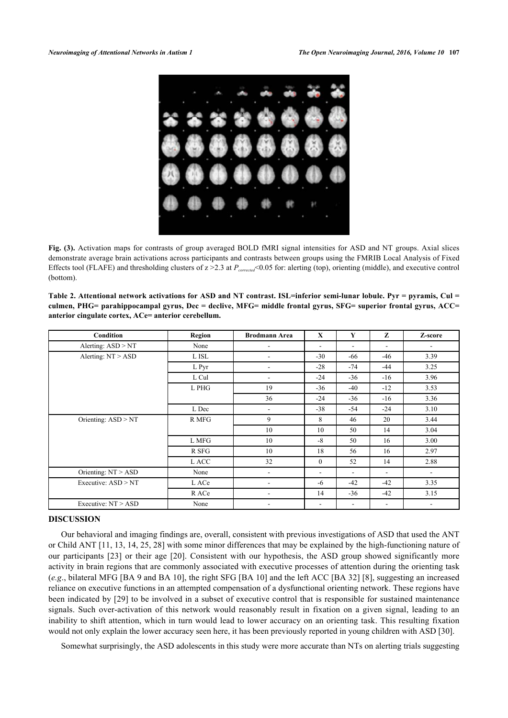

**Fig. (3).** Activation maps for contrasts of group averaged BOLD fMRI signal intensities for ASD and NT groups. Axial slices demonstrate average brain activations across participants and contrasts between groups using the FMRIB Local Analysis of Fixed Effects tool (FLAFE) and thresholding clusters of  $z > 2.3$  at  $P<sub>corrected</sub> < 0.05$  for: alerting (top), orienting (middle), and executive control (bottom).

<span id="page-5-0"></span>**Table 2. Attentional network activations for ASD and NT contrast. ISL=inferior semi-lunar lobule. Pyr = pyramis, Cul = culmen, PHG= parahippocampal gyrus, Dec = declive, MFG= middle frontal gyrus, SFG= superior frontal gyrus, ACC= anterior cingulate cortex, ACe= anterior cerebellum.**

| <b>Condition</b>      | Region | <b>Brodmann Area</b>         | $\mathbf{X}$             | Y                        | Z     | Z-score                  |
|-----------------------|--------|------------------------------|--------------------------|--------------------------|-------|--------------------------|
| Alerting: $ASD > NT$  | None   | ۰                            | ۰                        | ٠                        | ۰     |                          |
| Alerting: $NT > ASD$  | L ISL  | $\qquad \qquad \blacksquare$ | $-30$                    | $-66$                    | $-46$ | 3.39                     |
|                       | L Pyr  | ٠                            | $-28$                    | $-74$                    | $-44$ | 3.25                     |
|                       | L Cul  | $\qquad \qquad \blacksquare$ | $-24$                    | $-36$                    | $-16$ | 3.96                     |
|                       | L PHG  | 19                           | $-36$                    | $-40$                    | $-12$ | 3.53                     |
|                       |        | 36                           | $-24$                    | $-36$                    | $-16$ | 3.36                     |
|                       | L Dec  | ٠                            | $-38$                    | $-54$                    | $-24$ | 3.10                     |
| Orienting: ASD > NT   | R MFG  | 9                            | 8                        | 46                       | 20    | 3.44                     |
|                       |        | 10                           | 10                       | 50                       | 14    | 3.04                     |
|                       | L MFG  | 10                           | $-8$                     | 50                       | 16    | 3.00                     |
|                       | R SFG  | 10                           | 18                       | 56                       | 16    | 2.97                     |
|                       | L ACC  | 32                           | $\mathbf{0}$             | 52                       | 14    | 2.88                     |
| Orienting: $NT > ASD$ | None   | $\overline{\phantom{a}}$     | ۰                        | $\overline{\phantom{0}}$ | ۰     | $\overline{\phantom{a}}$ |
| Executive: $ASD > NT$ | L ACe  | ۰                            | -6                       | $-42$                    | $-42$ | 3.35                     |
|                       | R ACe  | $\overline{\phantom{0}}$     | 14                       | $-36$                    | $-42$ | 3.15                     |
| Executive: $NT > ASD$ | None   | ۰                            | $\overline{\phantom{0}}$ | $\sim$                   | ۰.    | $\overline{\phantom{a}}$ |

# **DISCUSSION**

Our behavioral and imaging findings are, overall, consistent with previous investigations of ASD that used the ANT or Child ANT [\[11](#page-7-15), [13](#page-7-16), [14](#page-7-10), [25,](#page-8-3) [28\]](#page-8-6) with some minor differences that may be explained by the high-functioning nature of our participants [\[23](#page-8-1)] or their age [[20](#page-7-19)]. Consistent with our hypothesis, the ASD group showed significantly more activity in brain regions that are commonly associated with executive processes of attention during the orienting task (*e.g*., bilateral MFG [BA 9 and BA 10], the right SFG [BA 10] and the left ACC [BA 32] [\[8](#page-7-7)], suggesting an increased reliance on executive functions in an attempted compensation of a dysfunctional orienting network. These regions have been indicated by [[29](#page-8-7)] to be involved in a subset of executive control that is responsible for sustained maintenance signals. Such over-activation of this network would reasonably result in fixation on a given signal, leading to an inability to shift attention, which in turn would lead to lower accuracy on an orienting task. This resulting fixation would not only explain the lower accuracy seen here, it has been previously reported in young children with ASD [\[30](#page-8-8)].

Somewhat surprisingly, the ASD adolescents in this study were more accurate than NTs on alerting trials suggesting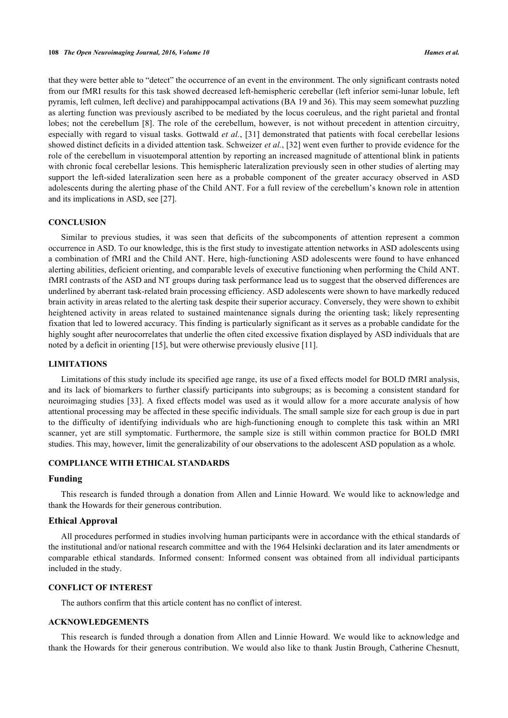that they were better able to "detect" the occurrence of an event in the environment. The only significant contrasts noted from our fMRI results for this task showed decreased left-hemispheric cerebellar (left inferior semi-lunar lobule, left pyramis, left culmen, left declive) and parahippocampal activations (BA 19 and 36). This may seem somewhat puzzling as alerting function was previously ascribed to be mediated by the locus coeruleus, and the right parietal and frontal lobes; not the cerebellum [[8](#page-7-7)]. The role of the cerebellum, however, is not without precedent in attention circuitry, especially with regard to visual tasks. Gottwald *et al.*, [[31](#page-8-9)] demonstrated that patients with focal cerebellar lesions showed distinct deficits in a divided attention task. Schweizer *et al.*, [[32](#page-8-10)] went even further to provide evidence for the role of the cerebellum in visuotemporal attention by reporting an increased magnitude of attentional blink in patients with chronic focal cerebellar lesions. This hemispheric lateralization previously seen in other studies of alerting may support the left-sided lateralization seen here as a probable component of the greater accuracy observed in ASD adolescents during the alerting phase of the Child ANT. For a full review of the cerebellum's known role in attention and its implications in ASD, see [\[27](#page-8-5)].

## **CONCLUSION**

Similar to previous studies, it was seen that deficits of the subcomponents of attention represent a common occurrence in ASD. To our knowledge, this is the first study to investigate attention networks in ASD adolescents using a combination of fMRI and the Child ANT. Here, high-functioning ASD adolescents were found to have enhanced alerting abilities, deficient orienting, and comparable levels of executive functioning when performing the Child ANT. fMRI contrasts of the ASD and NT groups during task performance lead us to suggest that the observed differences are underlined by aberrant task-related brain processing efficiency. ASD adolescents were shown to have markedly reduced brain activity in areas related to the alerting task despite their superior accuracy. Conversely, they were shown to exhibit heightened activity in areas related to sustained maintenance signals during the orienting task; likely representing fixation that led to lowered accuracy. This finding is particularly significant as it serves as a probable candidate for the highly sought after neurocorrelates that underlie the often cited excessive fixation displayed by ASD individuals that are noted by a deficit in orienting [\[15](#page-7-11)], but were otherwise previously elusive [[11\]](#page-7-15).

## **LIMITATIONS**

Limitations of this study include its specified age range, its use of a fixed effects model for BOLD fMRI analysis, and its lack of biomarkers to further classify participants into subgroups; as is becoming a consistent standard for neuroimaging studies [[33\]](#page-8-11). A fixed effects model was used as it would allow for a more accurate analysis of how attentional processing may be affected in these specific individuals. The small sample size for each group is due in part to the difficulty of identifying individuals who are high-functioning enough to complete this task within an MRI scanner, yet are still symptomatic. Furthermore, the sample size is still within common practice for BOLD fMRI studies. This may, however, limit the generalizability of our observations to the adolescent ASD population as a whole.

# **COMPLIANCE WITH ETHICAL STANDARDS**

# **Funding**

This research is funded through a donation from Allen and Linnie Howard. We would like to acknowledge and thank the Howards for their generous contribution.

#### **Ethical Approval**

All procedures performed in studies involving human participants were in accordance with the ethical standards of the institutional and/or national research committee and with the 1964 Helsinki declaration and its later amendments or comparable ethical standards. Informed consent: Informed consent was obtained from all individual participants included in the study.

## **CONFLICT OF INTEREST**

The authors confirm that this article content has no conflict of interest.

## **ACKNOWLEDGEMENTS**

This research is funded through a donation from Allen and Linnie Howard. We would like to acknowledge and thank the Howards for their generous contribution. We would also like to thank Justin Brough, Catherine Chesnutt,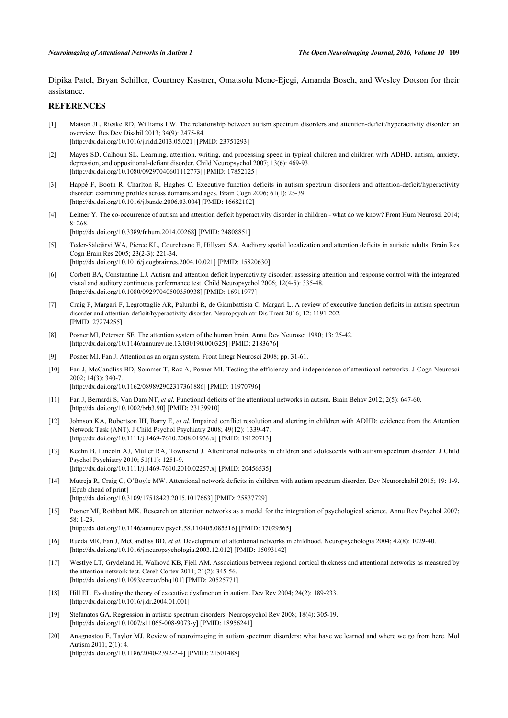Dipika Patel, Bryan Schiller, Courtney Kastner, Omatsolu Mene-Ejegi, Amanda Bosch, and Wesley Dotson for their assistance.

# **REFERENCES**

- <span id="page-7-0"></span>[1] Matson JL, Rieske RD, Williams LW. The relationship between autism spectrum disorders and attention-deficit/hyperactivity disorder: an overview. Res Dev Disabil 2013; 34(9): 2475-84. [\[http://dx.doi.org/10.1016/j.ridd.2013.05.021\]](http://dx.doi.org/10.1016/j.ridd.2013.05.021) [PMID: [23751293](http://www.ncbi.nlm.nih.gov/pubmed/23751293)]
- <span id="page-7-1"></span>[2] Mayes SD, Calhoun SL. Learning, attention, writing, and processing speed in typical children and children with ADHD, autism, anxiety, depression, and oppositional-defiant disorder. Child Neuropsychol 2007; 13(6): 469-93. [\[http://dx.doi.org/10.1080/09297040601112773\]](http://dx.doi.org/10.1080/09297040601112773) [PMID: [17852125](http://www.ncbi.nlm.nih.gov/pubmed/17852125)]
- <span id="page-7-2"></span>[3] Happé F, Booth R, Charlton R, Hughes C. Executive function deficits in autism spectrum disorders and attention-deficit/hyperactivity disorder: examining profiles across domains and ages. Brain Cogn 2006; 61(1): 25-39. [\[http://dx.doi.org/10.1016/j.bandc.2006.03.004](http://dx.doi.org/10.1016/j.bandc.2006.03.004)] [PMID: [16682102\]](http://www.ncbi.nlm.nih.gov/pubmed/16682102)
- <span id="page-7-3"></span>[4] Leitner Y. The co-occurrence of autism and attention deficit hyperactivity disorder in children - what do we know? Front Hum Neurosci 2014; 8: 268. [\[http://dx.doi.org/10.3389/fnhum.2014.00268\]](http://dx.doi.org/10.3389/fnhum.2014.00268) [PMID: [24808851](http://www.ncbi.nlm.nih.gov/pubmed/24808851)]
- <span id="page-7-4"></span>[5] Teder-Sälejärvi WA, Pierce KL, Courchesne E, Hillyard SA. Auditory spatial localization and attention deficits in autistic adults. Brain Res Cogn Brain Res 2005; 23(2-3): 221-34. [\[http://dx.doi.org/10.1016/j.cogbrainres.2004.10.021](http://dx.doi.org/10.1016/j.cogbrainres.2004.10.021)] [PMID: [15820630\]](http://www.ncbi.nlm.nih.gov/pubmed/15820630)
- <span id="page-7-5"></span>[6] Corbett BA, Constantine LJ. Autism and attention deficit hyperactivity disorder: assessing attention and response control with the integrated visual and auditory continuous performance test. Child Neuropsychol 2006; 12(4-5): 335-48. [\[http://dx.doi.org/10.1080/09297040500350938\]](http://dx.doi.org/10.1080/09297040500350938) [PMID: [16911977](http://www.ncbi.nlm.nih.gov/pubmed/16911977)]
- <span id="page-7-6"></span>[7] Craig F, Margari F, Legrottaglie AR, Palumbi R, de Giambattista C, Margari L. A review of executive function deficits in autism spectrum disorder and attention-deficit/hyperactivity disorder. Neuropsychiatr Dis Treat 2016; 12: 1191-202. [PMID: [27274255\]](http://www.ncbi.nlm.nih.gov/pubmed/27274255)
- <span id="page-7-7"></span>[8] Posner MI, Petersen SE. The attention system of the human brain. Annu Rev Neurosci 1990; 13: 25-42. [\[http://dx.doi.org/10.1146/annurev.ne.13.030190.000325](http://dx.doi.org/10.1146/annurev.ne.13.030190.000325)] [PMID: [2183676\]](http://www.ncbi.nlm.nih.gov/pubmed/2183676)
- <span id="page-7-8"></span>[9] Posner MI, Fan J. Attention as an organ system. Front Integr Neurosci 2008; pp. 31-61.
- <span id="page-7-9"></span>[10] Fan J, McCandliss BD, Sommer T, Raz A, Posner MI. Testing the efficiency and independence of attentional networks. J Cogn Neurosci 2002; 14(3): 340-7. [\[http://dx.doi.org/10.1162/089892902317361886\]](http://dx.doi.org/10.1162/089892902317361886) [PMID: [11970796](http://www.ncbi.nlm.nih.gov/pubmed/11970796)]
- <span id="page-7-15"></span>[11] Fan J, Bernardi S, Van Dam NT, *et al.* Functional deficits of the attentional networks in autism. Brain Behav 2012; 2(5): 647-60. [\[http://dx.doi.org/10.1002/brb3.90](http://dx.doi.org/10.1002/brb3.90)] [PMID: [23139910](http://www.ncbi.nlm.nih.gov/pubmed/23139910)]
- <span id="page-7-14"></span>[12] Johnson KA, Robertson IH, Barry E, *et al.* Impaired conflict resolution and alerting in children with ADHD: evidence from the Attention Network Task (ANT). J Child Psychol Psychiatry 2008; 49(12): 1339-47. [\[http://dx.doi.org/10.1111/j.1469-7610.2008.01936.x\]](http://dx.doi.org/10.1111/j.1469-7610.2008.01936.x) [PMID: [19120713](http://www.ncbi.nlm.nih.gov/pubmed/19120713)]
- <span id="page-7-16"></span>[13] Keehn B, Lincoln AJ, Müller RA, Townsend J. Attentional networks in children and adolescents with autism spectrum disorder. J Child Psychol Psychiatry 2010; 51(11): 1251-9. [\[http://dx.doi.org/10.1111/j.1469-7610.2010.02257.x\]](http://dx.doi.org/10.1111/j.1469-7610.2010.02257.x) [PMID: [20456535](http://www.ncbi.nlm.nih.gov/pubmed/20456535)]
- <span id="page-7-10"></span>[14] Mutreja R, Craig C, O'Boyle MW. Attentional network deficits in children with autism spectrum disorder. Dev Neurorehabil 2015; 19: 1-9. [Epub ahead of print] [\[http://dx.doi.org/10.3109/17518423.2015.1017663\]](http://dx.doi.org/10.3109/17518423.2015.1017663) [PMID: [25837729](http://www.ncbi.nlm.nih.gov/pubmed/25837729)]
- <span id="page-7-11"></span>[15] Posner MI, Rothbart MK. Research on attention networks as a model for the integration of psychological science. Annu Rev Psychol 2007; 58: 1-23. [\[http://dx.doi.org/10.1146/annurev.psych.58.110405.085516](http://dx.doi.org/10.1146/annurev.psych.58.110405.085516)] [PMID: [17029565\]](http://www.ncbi.nlm.nih.gov/pubmed/17029565)
- <span id="page-7-12"></span>[16] Rueda MR, Fan J, McCandliss BD, *et al.* Development of attentional networks in childhood. Neuropsychologia 2004; 42(8): 1029-40. [\[http://dx.doi.org/10.1016/j.neuropsychologia.2003.12.012\]](http://dx.doi.org/10.1016/j.neuropsychologia.2003.12.012) [PMID: [15093142](http://www.ncbi.nlm.nih.gov/pubmed/15093142)]
- <span id="page-7-13"></span>[17] Westlye LT, Grydeland H, Walhovd KB, Fjell AM. Associations between regional cortical thickness and attentional networks as measured by the attention network test. Cereb Cortex 2011; 21(2): 345-56. [\[http://dx.doi.org/10.1093/cercor/bhq101](http://dx.doi.org/10.1093/cercor/bhq101)] [PMID: [20525771\]](http://www.ncbi.nlm.nih.gov/pubmed/20525771)
- <span id="page-7-17"></span>[18] Hill EL. Evaluating the theory of executive dysfunction in autism. Dev Rev 2004; 24(2): 189-233. [\[http://dx.doi.org/10.1016/j.dr.2004.01.001\]](http://dx.doi.org/10.1016/j.dr.2004.01.001)
- <span id="page-7-18"></span>[19] Stefanatos GA. Regression in autistic spectrum disorders. Neuropsychol Rev 2008; 18(4): 305-19. [\[http://dx.doi.org/10.1007/s11065-008-9073-y\]](http://dx.doi.org/10.1007/s11065-008-9073-y) [PMID: [18956241](http://www.ncbi.nlm.nih.gov/pubmed/18956241)]
- <span id="page-7-19"></span>[20] Anagnostou E, Taylor MJ. Review of neuroimaging in autism spectrum disorders: what have we learned and where we go from here. Mol Autism  $2011:2(1):4$ [\[http://dx.doi.org/10.1186/2040-2392-2-4\]](http://dx.doi.org/10.1186/2040-2392-2-4) [PMID: [21501488](http://www.ncbi.nlm.nih.gov/pubmed/21501488)]